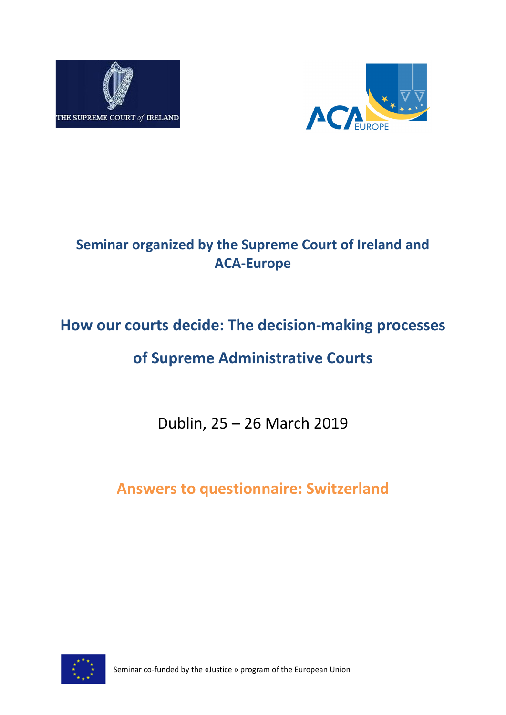



# **Seminar organized by the Supreme Court of Ireland and ACA-Europe**

# **How our courts decide: The decision-making processes**

# **of Supreme Administrative Courts**

Dublin, 25 – 26 March 2019

**Answers to questionnaire: Switzerland**



Seminar co-funded by the «Justice » program of the European Union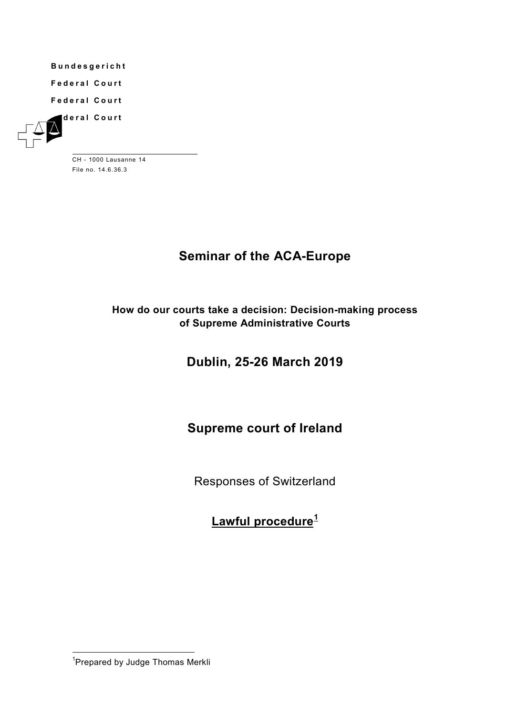**Bundesgericht**

**Federal Court**

**Federal Court**





CH - 1000 Lausanne 14 File no. 14.6.36.3

# **Seminar of the ACA-Europe**

### **How do our courts take a decision: Decision-making process of Supreme Administrative Courts**

# **Dublin, 25-26 March 2019**

# **Supreme court of Ireland**

Responses of Switzerland

**Lawful procedure[1](#page-1-0)**

<span id="page-1-0"></span> <sup>1</sup> Prepared by Judge Thomas Merkli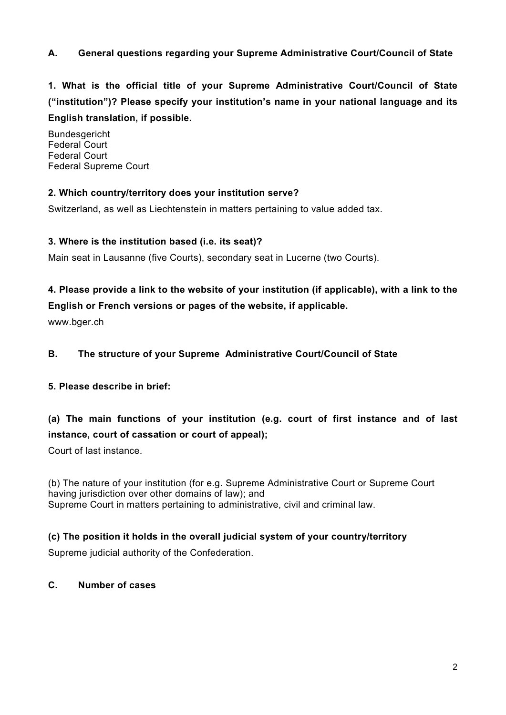#### **A. General questions regarding your Supreme Administrative Court/Council of State**

**1. What is the official title of your Supreme Administrative Court/Council of State ("institution")? Please specify your institution's name in your national language and its English translation, if possible.**

Bundesgericht Federal Court Federal Court Federal Supreme Court

#### **2. Which country/territory does your institution serve?**

Switzerland, as well as Liechtenstein in matters pertaining to value added tax.

#### **3. Where is the institution based (i.e. its seat)?**

Main seat in Lausanne (five Courts), secondary seat in Lucerne (two Courts).

### **4. Please provide a link to the website of your institution (if applicable), with a link to the English or French versions or pages of the website, if applicable.**

www.bger.ch

#### **B. The structure of your Supreme Administrative Court/Council of State**

#### **5. Please describe in brief:**

### **(a) The main functions of your institution (e.g. court of first instance and of last instance, court of cassation or court of appeal);**

Court of last instance.

(b) The nature of your institution (for e.g. Supreme Administrative Court or Supreme Court having jurisdiction over other domains of law); and Supreme Court in matters pertaining to administrative, civil and criminal law.

#### **(c) The position it holds in the overall judicial system of your country/territory**

Supreme judicial authority of the Confederation.

#### **C. Number of cases**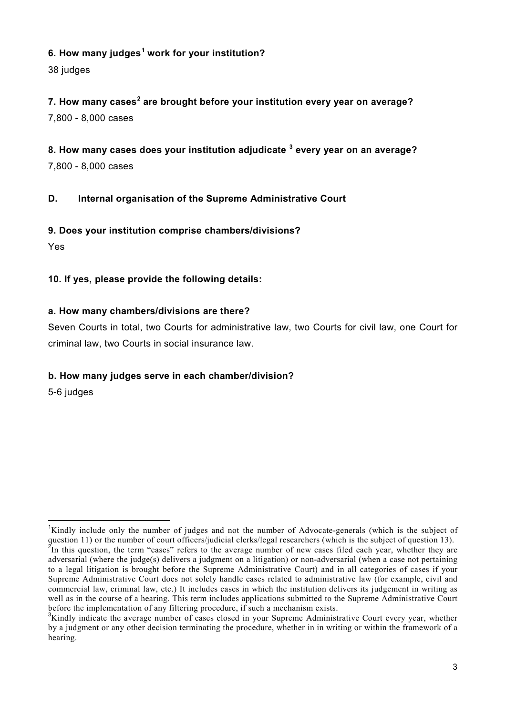#### **6. How many judges[1](#page-3-0) work for your institution?**

38 judges

**7. How many cases[2](#page-3-1) are brought before your institution every year on average?** 7,800 - 8,000 cases

**8. How many cases does your institution adjudicate [3](#page-3-2) every year on an average?** 7,800 - 8,000 cases

#### **D. Internal organisation of the Supreme Administrative Court**

#### **9. Does your institution comprise chambers/divisions?**

Yes

#### **10. If yes, please provide the following details:**

#### **a. How many chambers/divisions are there?**

Seven Courts in total, two Courts for administrative law, two Courts for civil law, one Court for criminal law, two Courts in social insurance law.

#### **b. How many judges serve in each chamber/division?**

5-6 judges

<span id="page-3-1"></span><span id="page-3-0"></span><sup>&</sup>lt;sup>1</sup>Kindly include only the number of judges and not the number of Advocate-generals (which is the subject of question 11) or the number of court officers/judicial clerks/legal researchers (which is the subject of question 13).  $^{2}$ In this question, the term "cases" refers to the average number of new cases filed each year, whether they are adversarial (where the judge(s) delivers a judgment on a litigation) or non-adversarial (when a case not pertaining to a legal litigation is brought before the Supreme Administrative Court) and in all categories of cases if your Supreme Administrative Court does not solely handle cases related to administrative law (for example, civil and commercial law, criminal law, etc.) It includes cases in which the institution delivers its judgement in writing as well as in the course of a hearing. This term includes applications submitted to the Supreme Administrative Court before the implementation of any filtering procedure, if such a mechanism exists.

<span id="page-3-2"></span><sup>&</sup>lt;sup>3</sup>Kindly indicate the average number of cases closed in your Supreme Administrative Court every year, whether by a judgment or any other decision terminating the procedure, whether in in writing or within the framework of a hearing.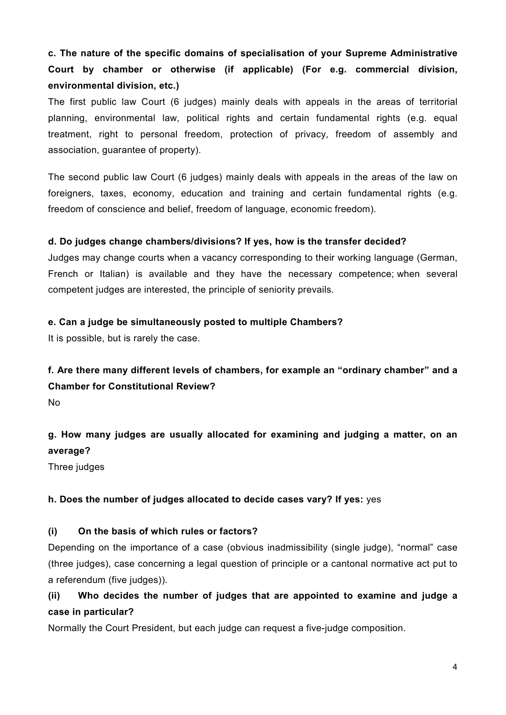# **c. The nature of the specific domains of specialisation of your Supreme Administrative Court by chamber or otherwise (if applicable) (For e.g. commercial division, environmental division, etc.)**

The first public law Court (6 judges) mainly deals with appeals in the areas of territorial planning, environmental law, political rights and certain fundamental rights (e.g. equal treatment, right to personal freedom, protection of privacy, freedom of assembly and association, guarantee of property).

The second public law Court (6 judges) mainly deals with appeals in the areas of the law on foreigners, taxes, economy, education and training and certain fundamental rights (e.g. freedom of conscience and belief, freedom of language, economic freedom).

#### **d. Do judges change chambers/divisions? If yes, how is the transfer decided?**

Judges may change courts when a vacancy corresponding to their working language (German, French or Italian) is available and they have the necessary competence; when several competent judges are interested, the principle of seniority prevails.

#### **e. Can a judge be simultaneously posted to multiple Chambers?**

It is possible, but is rarely the case.

#### **f. Are there many different levels of chambers, for example an "ordinary chamber" and a Chamber for Constitutional Review?**

No

# **g. How many judges are usually allocated for examining and judging a matter, on an average?**

Three judges

#### **h. Does the number of judges allocated to decide cases vary? If yes:** yes

#### **(i) On the basis of which rules or factors?**

Depending on the importance of a case (obvious inadmissibility (single judge), "normal" case (three judges), case concerning a legal question of principle or a cantonal normative act put to a referendum (five judges)).

### **(ii) Who decides the number of judges that are appointed to examine and judge a case in particular?**

Normally the Court President, but each judge can request a five-judge composition.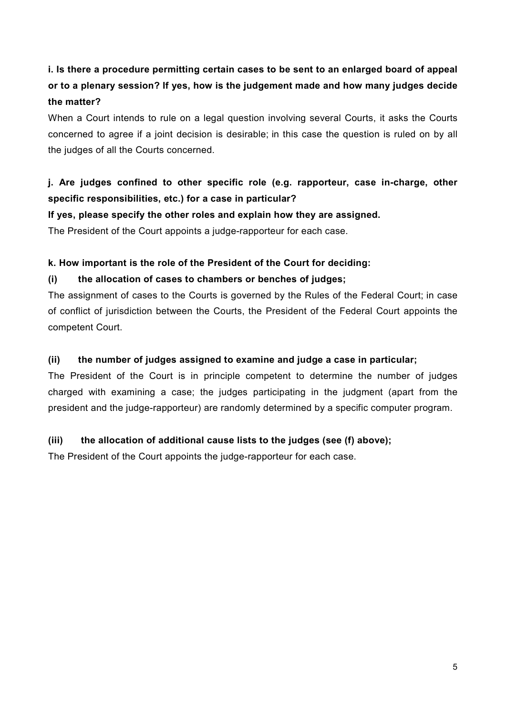# **i. Is there a procedure permitting certain cases to be sent to an enlarged board of appeal or to a plenary session? If yes, how is the judgement made and how many judges decide the matter?**

When a Court intends to rule on a legal question involving several Courts, it asks the Courts concerned to agree if a joint decision is desirable; in this case the question is ruled on by all the judges of all the Courts concerned.

# **j. Are judges confined to other specific role (e.g. rapporteur, case in-charge, other specific responsibilities, etc.) for a case in particular?**

#### **If yes, please specify the other roles and explain how they are assigned.**

The President of the Court appoints a judge-rapporteur for each case.

#### **k. How important is the role of the President of the Court for deciding:**

#### **(i) the allocation of cases to chambers or benches of judges;**

The assignment of cases to the Courts is governed by the Rules of the Federal Court; in case of conflict of jurisdiction between the Courts, the President of the Federal Court appoints the competent Court.

#### **(ii) the number of judges assigned to examine and judge a case in particular;**

The President of the Court is in principle competent to determine the number of judges charged with examining a case; the judges participating in the judgment (apart from the president and the judge-rapporteur) are randomly determined by a specific computer program.

#### **(iii) the allocation of additional cause lists to the judges (see (f) above);**

The President of the Court appoints the judge-rapporteur for each case.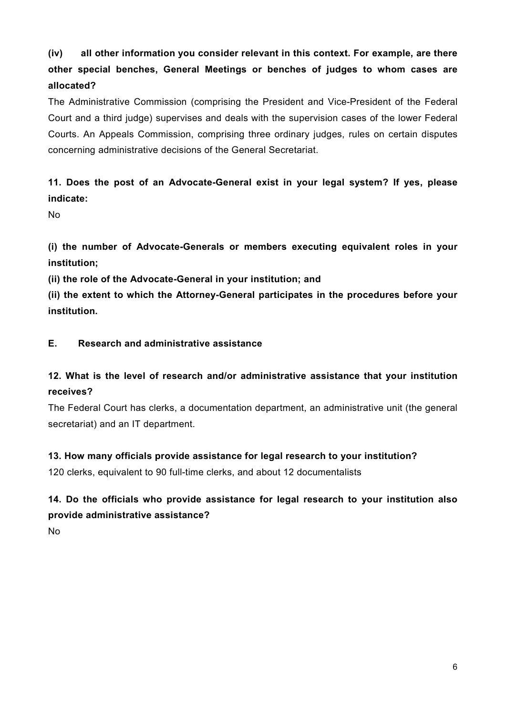**(iv) all other information you consider relevant in this context. For example, are there other special benches, General Meetings or benches of judges to whom cases are allocated?**

The Administrative Commission (comprising the President and Vice-President of the Federal Court and a third judge) supervises and deals with the supervision cases of the lower Federal Courts. An Appeals Commission, comprising three ordinary judges, rules on certain disputes concerning administrative decisions of the General Secretariat.

# **11. Does the post of an Advocate-General exist in your legal system? If yes, please indicate:**

No

**(i) the number of Advocate-Generals or members executing equivalent roles in your institution;**

**(ii) the role of the Advocate-General in your institution; and**

**(ii) the extent to which the Attorney-General participates in the procedures before your institution.**

#### **E. Research and administrative assistance**

### **12. What is the level of research and/or administrative assistance that your institution receives?**

The Federal Court has clerks, a documentation department, an administrative unit (the general secretariat) and an IT department.

#### **13. How many officials provide assistance for legal research to your institution?**

120 clerks, equivalent to 90 full-time clerks, and about 12 documentalists

### **14. Do the officials who provide assistance for legal research to your institution also provide administrative assistance?**

No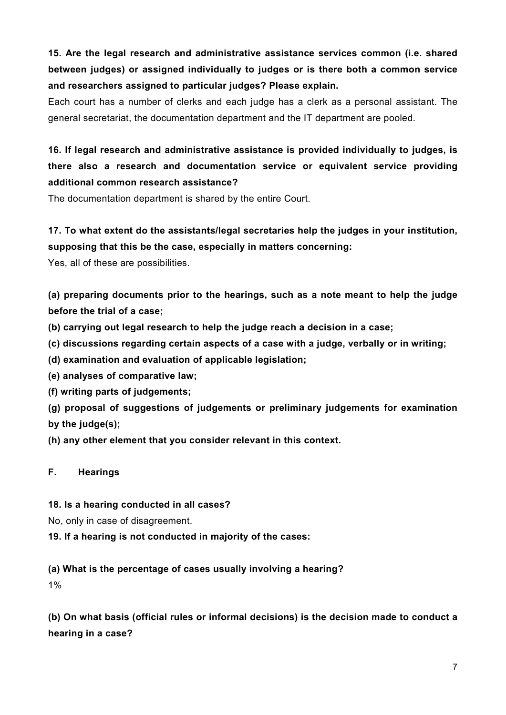# **15. Are the legal research and administrative assistance services common (i.e. shared between judges) or assigned individually to judges or is there both a common service and researchers assigned to particular judges? Please explain.**

Each court has a number of clerks and each judge has a clerk as a personal assistant. The general secretariat, the documentation department and the IT department are pooled.

# **16. If legal research and administrative assistance is provided individually to judges, is there also a research and documentation service or equivalent service providing additional common research assistance?**

The documentation department is shared by the entire Court.

## **17. To what extent do the assistants/legal secretaries help the judges in your institution, supposing that this be the case, especially in matters concerning:**

Yes, all of these are possibilities.

**(a) preparing documents prior to the hearings, such as a note meant to help the judge before the trial of a case;**

- **(b) carrying out legal research to help the judge reach a decision in a case;**
- **(c) discussions regarding certain aspects of a case with a judge, verbally or in writing;**
- **(d) examination and evaluation of applicable legislation;**
- **(e) analyses of comparative law;**
- **(f) writing parts of judgements;**
- **(g) proposal of suggestions of judgements or preliminary judgements for examination by the judge(s);**
- **(h) any other element that you consider relevant in this context.**

#### **F. Hearings**

#### **18. Is a hearing conducted in all cases?**

No, only in case of disagreement.

**19. If a hearing is not conducted in majority of the cases:**

### **(a) What is the percentage of cases usually involving a hearing?**

1%

**(b) On what basis (official rules or informal decisions) is the decision made to conduct a hearing in a case?**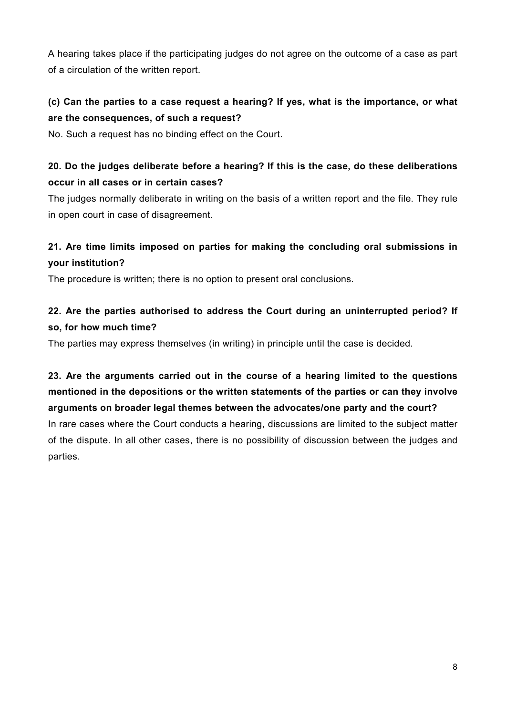A hearing takes place if the participating judges do not agree on the outcome of a case as part of a circulation of the written report.

# **(c) Can the parties to a case request a hearing? If yes, what is the importance, or what are the consequences, of such a request?**

No. Such a request has no binding effect on the Court.

# **20. Do the judges deliberate before a hearing? If this is the case, do these deliberations occur in all cases or in certain cases?**

The judges normally deliberate in writing on the basis of a written report and the file. They rule in open court in case of disagreement.

# **21. Are time limits imposed on parties for making the concluding oral submissions in your institution?**

The procedure is written; there is no option to present oral conclusions.

# **22. Are the parties authorised to address the Court during an uninterrupted period? If so, for how much time?**

The parties may express themselves (in writing) in principle until the case is decided.

**23. Are the arguments carried out in the course of a hearing limited to the questions mentioned in the depositions or the written statements of the parties or can they involve arguments on broader legal themes between the advocates/one party and the court?** In rare cases where the Court conducts a hearing, discussions are limited to the subject matter

of the dispute. In all other cases, there is no possibility of discussion between the judges and parties.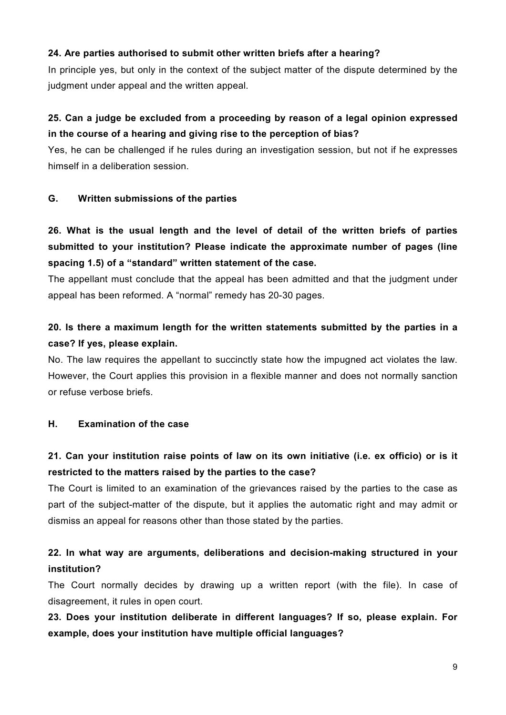#### **24. Are parties authorised to submit other written briefs after a hearing?**

In principle yes, but only in the context of the subject matter of the dispute determined by the judgment under appeal and the written appeal.

# **25. Can a judge be excluded from a proceeding by reason of a legal opinion expressed in the course of a hearing and giving rise to the perception of bias?**

Yes, he can be challenged if he rules during an investigation session, but not if he expresses himself in a deliberation session.

#### **G. Written submissions of the parties**

# **26. What is the usual length and the level of detail of the written briefs of parties submitted to your institution? Please indicate the approximate number of pages (line spacing 1.5) of a "standard" written statement of the case.**

The appellant must conclude that the appeal has been admitted and that the judgment under appeal has been reformed. A "normal" remedy has 20-30 pages.

# **20. Is there a maximum length for the written statements submitted by the parties in a case? If yes, please explain.**

No. The law requires the appellant to succinctly state how the impugned act violates the law. However, the Court applies this provision in a flexible manner and does not normally sanction or refuse verbose briefs.

#### **H. Examination of the case**

# **21. Can your institution raise points of law on its own initiative (i.e. ex officio) or is it restricted to the matters raised by the parties to the case?**

The Court is limited to an examination of the grievances raised by the parties to the case as part of the subject-matter of the dispute, but it applies the automatic right and may admit or dismiss an appeal for reasons other than those stated by the parties.

### **22. In what way are arguments, deliberations and decision-making structured in your institution?**

The Court normally decides by drawing up a written report (with the file). In case of disagreement, it rules in open court.

**23. Does your institution deliberate in different languages? If so, please explain. For example, does your institution have multiple official languages?**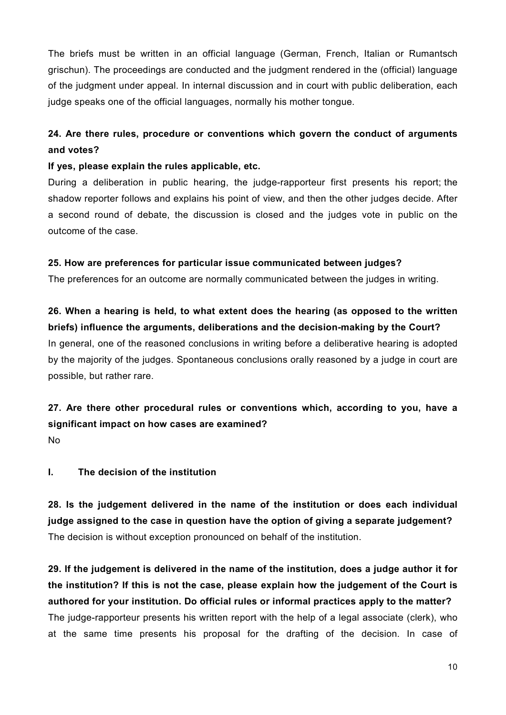The briefs must be written in an official language (German, French, Italian or Rumantsch grischun). The proceedings are conducted and the judgment rendered in the (official) language of the judgment under appeal. In internal discussion and in court with public deliberation, each judge speaks one of the official languages, normally his mother tongue.

# **24. Are there rules, procedure or conventions which govern the conduct of arguments and votes?**

#### **If yes, please explain the rules applicable, etc.**

During a deliberation in public hearing, the judge-rapporteur first presents his report; the shadow reporter follows and explains his point of view, and then the other judges decide. After a second round of debate, the discussion is closed and the judges vote in public on the outcome of the case.

#### **25. How are preferences for particular issue communicated between judges?**

The preferences for an outcome are normally communicated between the judges in writing.

**26. When a hearing is held, to what extent does the hearing (as opposed to the written briefs) influence the arguments, deliberations and the decision-making by the Court?** In general, one of the reasoned conclusions in writing before a deliberative hearing is adopted by the majority of the judges. Spontaneous conclusions orally reasoned by a judge in court are possible, but rather rare.

# **27. Are there other procedural rules or conventions which, according to you, have a significant impact on how cases are examined?**

No

### **I. The decision of the institution**

**28. Is the judgement delivered in the name of the institution or does each individual judge assigned to the case in question have the option of giving a separate judgement?** The decision is without exception pronounced on behalf of the institution.

**29. If the judgement is delivered in the name of the institution, does a judge author it for the institution? If this is not the case, please explain how the judgement of the Court is authored for your institution. Do official rules or informal practices apply to the matter?** The judge-rapporteur presents his written report with the help of a legal associate (clerk), who at the same time presents his proposal for the drafting of the decision. In case of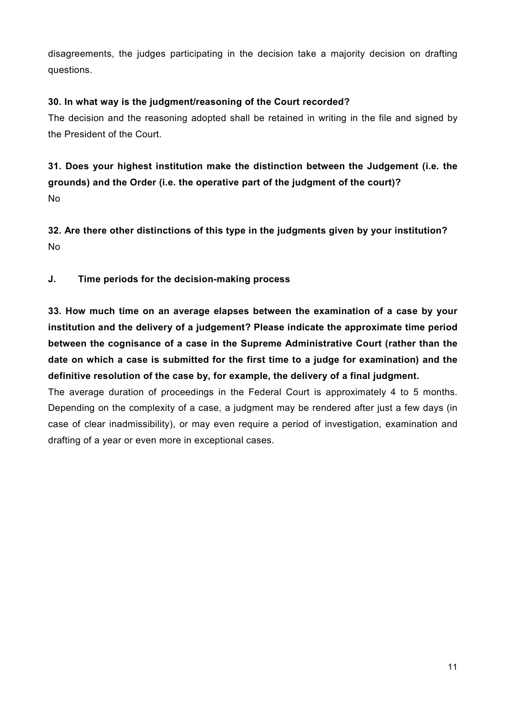disagreements, the judges participating in the decision take a majority decision on drafting questions.

#### **30. In what way is the judgment/reasoning of the Court recorded?**

The decision and the reasoning adopted shall be retained in writing in the file and signed by the President of the Court.

**31. Does your highest institution make the distinction between the Judgement (i.e. the grounds) and the Order (i.e. the operative part of the judgment of the court)?** No

**32. Are there other distinctions of this type in the judgments given by your institution?** No

**J. Time periods for the decision-making process**

**33. How much time on an average elapses between the examination of a case by your institution and the delivery of a judgement? Please indicate the approximate time period between the cognisance of a case in the Supreme Administrative Court (rather than the date on which a case is submitted for the first time to a judge for examination) and the definitive resolution of the case by, for example, the delivery of a final judgment.**

The average duration of proceedings in the Federal Court is approximately 4 to 5 months. Depending on the complexity of a case, a judgment may be rendered after just a few days (in case of clear inadmissibility), or may even require a period of investigation, examination and drafting of a year or even more in exceptional cases.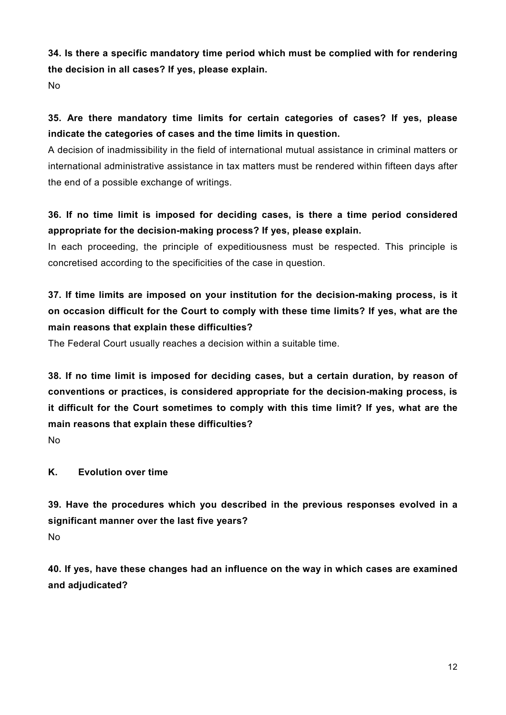**34. Is there a specific mandatory time period which must be complied with for rendering the decision in all cases? If yes, please explain.**

No

# **35. Are there mandatory time limits for certain categories of cases? If yes, please indicate the categories of cases and the time limits in question.**

A decision of inadmissibility in the field of international mutual assistance in criminal matters or international administrative assistance in tax matters must be rendered within fifteen days after the end of a possible exchange of writings.

# **36. If no time limit is imposed for deciding cases, is there a time period considered appropriate for the decision-making process? If yes, please explain.**

In each proceeding, the principle of expeditiousness must be respected. This principle is concretised according to the specificities of the case in question.

# **37. If time limits are imposed on your institution for the decision-making process, is it on occasion difficult for the Court to comply with these time limits? If yes, what are the main reasons that explain these difficulties?**

The Federal Court usually reaches a decision within a suitable time.

**38. If no time limit is imposed for deciding cases, but a certain duration, by reason of conventions or practices, is considered appropriate for the decision-making process, is it difficult for the Court sometimes to comply with this time limit? If yes, what are the main reasons that explain these difficulties?**

No

### **K. Evolution over time**

**39. Have the procedures which you described in the previous responses evolved in a significant manner over the last five years?** No

**40. If yes, have these changes had an influence on the way in which cases are examined and adjudicated?**